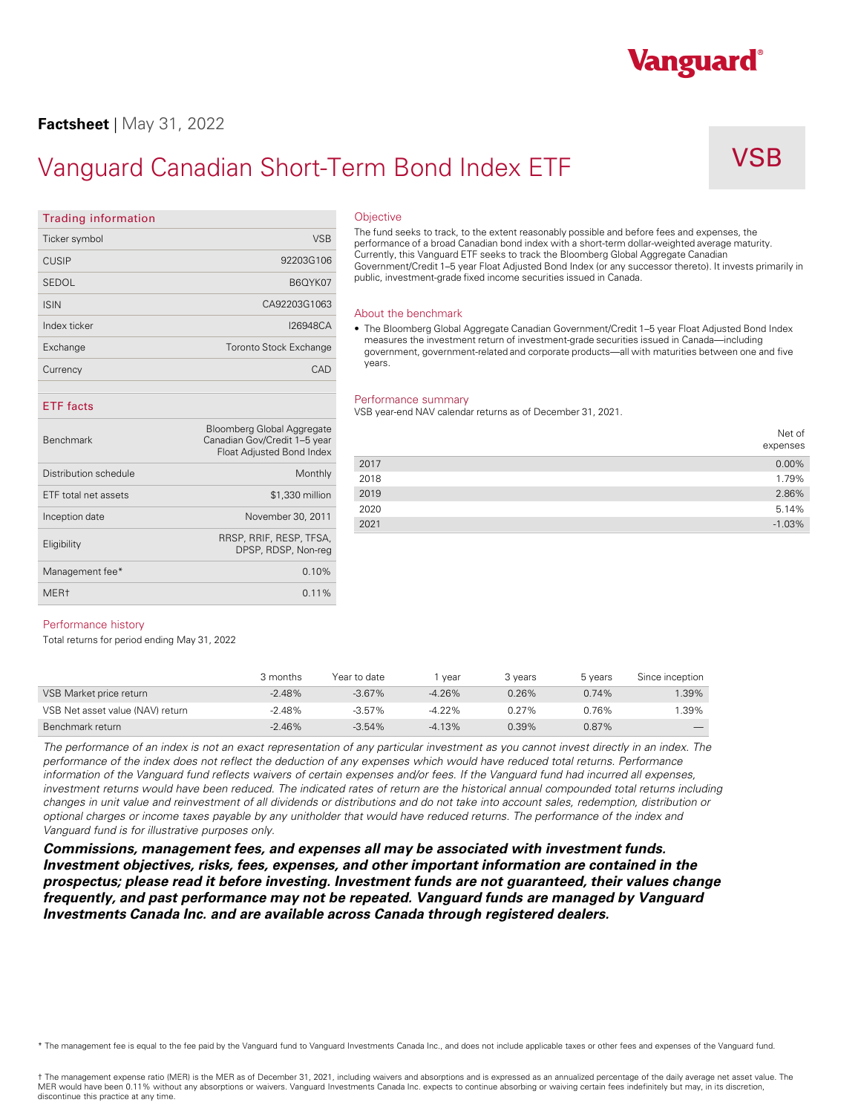## **Factsheet** | May 31, 2022

# Vanguard Canadian Short-Term Bond Index ETF VSB

Vanguard®

| Trading Information |                               |
|---------------------|-------------------------------|
| Ticker symbol       | <b>VSB</b>                    |
| <b>CUSIP</b>        | 92203G106                     |
| SEDOL               | B6OYK07                       |
| <b>ISIN</b>         | CA92203G1063                  |
| Index ticker        | 126948CA                      |
| Exchange            | <b>Toronto Stock Exchange</b> |
| Currency            | CAD                           |

**Trading information** 

## **ETF facts**

| <b>Benchmark</b>      | Bloomberg Global Aggregate<br>Canadian Gov/Credit 1-5 year<br>Float Adjusted Bond Index |      |  |
|-----------------------|-----------------------------------------------------------------------------------------|------|--|
|                       |                                                                                         | 2017 |  |
| Distribution schedule | Monthly                                                                                 | 2018 |  |
| ETF total net assets  | \$1,330 million                                                                         | 2019 |  |
|                       | November 30, 2011                                                                       | 2020 |  |
| Inception date        |                                                                                         | 2021 |  |
| Eligibility           | RRSP, RRIF, RESP, TFSA,<br>DPSP, RDSP, Non-reg                                          |      |  |
| Management fee*       | 0.10%                                                                                   |      |  |
| MER <sub>t</sub>      | 0.11%                                                                                   |      |  |
|                       |                                                                                         |      |  |

### **Objective**

The fund seeks to track, to the extent reasonably possible and before fees and expenses, the performance of a broad Canadian bond index with a short-term dollar-weighted average maturity. Currently, this Vanguard ETF seeks to track the Bloomberg Global Aggregate Canadian Government/Credit 1–5 year Float Adjusted Bond Index (or any successor thereto). It invests primarily in public, investment-grade fixed income securities issued in Canada.

### About the benchmark

• The Bloomberg Global Aggregate Canadian Government/Credit 1–5 year Float Adjusted Bond Index measures the investment return of investment-grade securities issued in Canada—including government, government-related and corporate products—all with maturities between one and five years.

### Performance summary

VSB year-end NAV calendar returns as of December 31, 2021.

|      | Net of<br>expenses |
|------|--------------------|
| 2017 | 0.00%              |
| 2018 | 1.79%              |
| 2019 | 2.86%              |
| 2020 | 5.14%              |
| 2021 | $-1.03%$           |

### Performance history

Total returns for period ending May 31, 2022

|                                  | 3 months  | Year to date | year      | 3 years | 5 years | Since inception |
|----------------------------------|-----------|--------------|-----------|---------|---------|-----------------|
| VSB Market price return          | $-2.48\%$ | $-3.67%$     | -4.26%    | 0.26%   | 0.74%   | $.39\%$         |
| VSB Net asset value (NAV) return | $-2.48%$  | $-3.57\%$    | $-4.22\%$ | 0.27%   | 0.76%   | $.39\%$         |
| Benchmark return                 | $-2.46%$  | $-3.54%$     | $-4.13%$  | 0.39%   | 0.87%   |                 |

*The performance of an index is not an exact representation of any particular investment as you cannot invest directly in an index. The performance of the index does not reflect the deduction of any expenses which would have reduced total returns. Performance information of the Vanguard fund reflects waivers of certain expenses and/or fees. If the Vanguard fund had incurred all expenses,*  investment returns would have been reduced. The indicated rates of return are the historical annual compounded total returns including changes in unit value and reinvestment of all dividends or distributions and do not take into account sales, redemption, distribution or<br>optional charges or income taxes payable by any unitholder that would have reduced re *Vanguard fund is for illustrative purposes only.* 

*Commissions, management fees, and expenses all may be associated with investment funds. Investment objectives, risks, fees, expenses, and other important information are contained in the prospectus; please read it before investing. Investment funds are not guaranteed, their values change frequently, and past performance may not be repeated. Vanguard funds are managed by Vanguard Investments Canada Inc. and are available across Canada through registered dealers.* 

\* The management fee is equal to the fee paid by the Vanguard fund to Vanguard Investments Canada Inc., and does not include applicable taxes or other fees and expenses of the Vanguard fund.